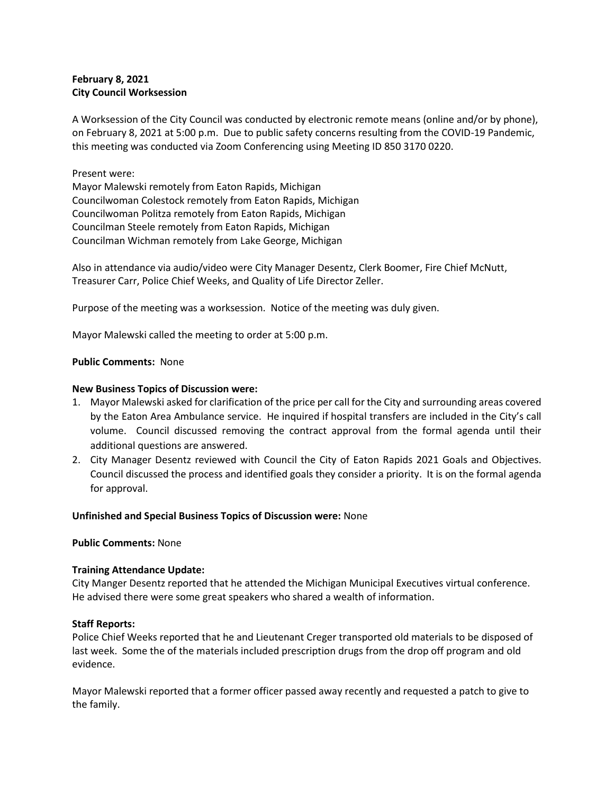# **February 8, 2021 City Council Worksession**

A Worksession of the City Council was conducted by electronic remote means (online and/or by phone), on February 8, 2021 at 5:00 p.m. Due to public safety concerns resulting from the COVID-19 Pandemic, this meeting was conducted via Zoom Conferencing using Meeting ID 850 3170 0220.

## Present were:

Mayor Malewski remotely from Eaton Rapids, Michigan Councilwoman Colestock remotely from Eaton Rapids, Michigan Councilwoman Politza remotely from Eaton Rapids, Michigan Councilman Steele remotely from Eaton Rapids, Michigan Councilman Wichman remotely from Lake George, Michigan

Also in attendance via audio/video were City Manager Desentz, Clerk Boomer, Fire Chief McNutt, Treasurer Carr, Police Chief Weeks, and Quality of Life Director Zeller.

Purpose of the meeting was a worksession. Notice of the meeting was duly given.

Mayor Malewski called the meeting to order at 5:00 p.m.

### **Public Comments:** None

### **New Business Topics of Discussion were:**

- 1. Mayor Malewski asked for clarification of the price per call for the City and surrounding areas covered by the Eaton Area Ambulance service. He inquired if hospital transfers are included in the City's call volume. Council discussed removing the contract approval from the formal agenda until their additional questions are answered.
- 2. City Manager Desentz reviewed with Council the City of Eaton Rapids 2021 Goals and Objectives. Council discussed the process and identified goals they consider a priority. It is on the formal agenda for approval.

#### **Unfinished and Special Business Topics of Discussion were:** None

**Public Comments:** None

## **Training Attendance Update:**

City Manger Desentz reported that he attended the Michigan Municipal Executives virtual conference. He advised there were some great speakers who shared a wealth of information.

#### **Staff Reports:**

Police Chief Weeks reported that he and Lieutenant Creger transported old materials to be disposed of last week. Some the of the materials included prescription drugs from the drop off program and old evidence.

Mayor Malewski reported that a former officer passed away recently and requested a patch to give to the family.